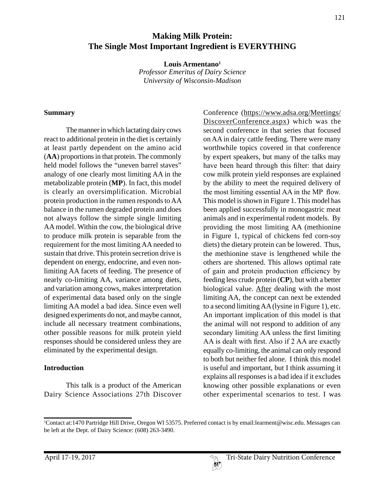# **Making Milk Protein: The Single Most Important Ingredient is EVERYTHING**

**Louis Armentano1** *Professor Emeritus of Dairy Science University of Wisconsin-Madison*

#### **Summary**

The manner in which lactating dairy cows react to additional protein in the diet is certainly at least partly dependent on the amino acid (**AA**) proportions in that protein. The commonly held model follows the "uneven barrel staves" analogy of one clearly most limiting AA in the metabolizable protein (**MP**). In fact, this model is clearly an oversimplification. Microbial protein production in the rumen responds to AA balance in the rumen degraded protein and does not always follow the simple single limiting AA model. Within the cow, the biological drive to produce milk protein is separable from the requirement for the most limiting AA needed to sustain that drive. This protein secretion drive is dependent on energy, endocrine, and even nonlimiting AA facets of feeding. The presence of nearly co-limiting AA, variance among diets, and variation among cows, makes interpretation of experimental data based only on the single limiting AA model a bad idea. Since even well designed experiments do not, and maybe cannot, include all necessary treatment combinations, other possible reasons for milk protein yield responses should be considered unless they are eliminated by the experimental design.

#### **Introduction**

This talk is a product of the American Dairy Science Associations 27th Discover

Conference (https://www.adsa.org/Meetings/ DiscoverConference.aspx) which was the second conference in that series that focused on AA in dairy cattle feeding. There were many worthwhile topics covered in that conference by expert speakers, but many of the talks may have been heard through this filter: that dairy cow milk protein yield responses are explained by the ability to meet the required delivery of the most limiting essential AA in the MP flow. This model is shown in Figure 1. This model has been applied successfully in monogastric meat animals and in experimental rodent models. By providing the most limiting AA (methionine in Figure 1, typical of chickens fed corn-soy diets) the dietary protein can be lowered. Thus, the methionine stave is lengthened while the others are shortened. This allows optimal rate of gain and protein production efficiency by feeding less crude protein (**CP**), but with a better biological value. After dealing with the most limiting AA, the concept can next be extended to a second limiting AA (lysine in Figure 1), etc. An important implication of this model is that the animal will not respond to addition of any secondary limiting AA unless the first limiting AA is dealt with first. Also if 2 AA are exactly equally co-limiting, the animal can only respond to both but neither fed alone. I think this model is useful and important, but I think assuming it explains all responses is a bad idea if it excludes knowing other possible explanations or even other experimental scenarios to test. I was

<sup>1</sup> Contact at:1470 Partridge Hill Drive, Oregon WI 53575. Preferred contact is by email:learment@wisc.edu. Messages can be left at the Dept. of Dairy Science: (608) 263-3490.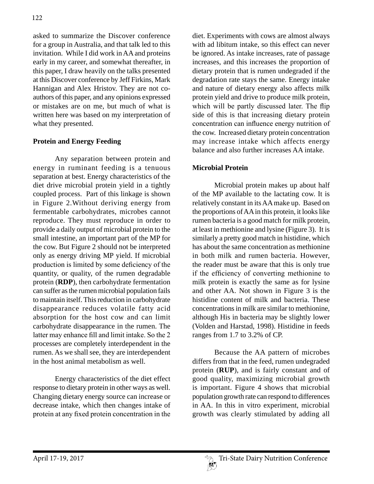asked to summarize the Discover conference for a group in Australia, and that talk led to this invitation. While I did work in AA and proteins early in my career, and somewhat thereafter, in this paper, I draw heavily on the talks presented at this Discover conference by Jeff Firkins, Mark Hannigan and Alex Hristov. They are not coauthors of this paper, and any opinions expressed or mistakes are on me, but much of what is written here was based on my interpretation of what they presented.

# **Protein and Energy Feeding**

Any separation between protein and energy in ruminant feeding is a tenuous separation at best. Energy characteristics of the diet drive microbial protein yield in a tightly coupled process. Part of this linkage is shown in Figure 2.Without deriving energy from fermentable carbohydrates, microbes cannot reproduce. They must reproduce in order to provide a daily output of microbial protein to the small intestine, an important part of the MP for the cow. But Figure 2 should not be interpreted only as energy driving MP yield. If microbial production is limited by some deficiency of the quantity, or quality, of the rumen degradable protein (**RDP**), then carbohydrate fermentation can suffer as the rumen microbial population fails to maintain itself. This reduction in carbohydrate disappearance reduces volatile fatty acid absorption for the host cow and can limit carbohydrate disappearance in the rumen. The latter may enhance fill and limit intake. So the 2 processes are completely interdependent in the rumen. As we shall see, they are interdependent in the host animal metabolism as well.

Energy characteristics of the diet effect response to dietary protein in other ways as well. Changing dietary energy source can increase or decrease intake, which then changes intake of protein at any fixed protein concentration in the

diet. Experiments with cows are almost always with ad libitum intake, so this effect can never be ignored. As intake increases, rate of passage increases, and this increases the proportion of dietary protein that is rumen undegraded if the degradation rate stays the same. Energy intake and nature of dietary energy also affects milk protein yield and drive to produce milk protein, which will be partly discussed later. The flip side of this is that increasing dietary protein concentration can influence energy nutrition of the cow. Increased dietary protein concentration may increase intake which affects energy balance and also further increases AA intake.

# **Microbial Protein**

Microbial protein makes up about half of the MP available to the lactating cow. It is relatively constant in its AA make up. Based on the proportions of AA in this protein, it looks like rumen bacteria is a good match for milk protein, at least in methionine and lysine (Figure 3). It is similarly a pretty good match in histidine, which has about the same concentration as methionine in both milk and rumen bacteria. However, the reader must be aware that this is only true if the efficiency of converting methionine to milk protein is exactly the same as for lysine and other AA. Not shown in Figure 3 is the histidine content of milk and bacteria. These concentrations in milk are similar to methionine, although His in bacteria may be slightly lower (Volden and Harstad, 1998). Histidine in feeds ranges from 1.7 to 3.2% of CP.

Because the AA pattern of microbes differs from that in the feed, rumen undegraded protein (**RUP**), and is fairly constant and of good quality, maximizing microbial growth is important. Figure 4 shows that microbial population growth rate can respond to differences in AA. In this in vitro experiment, microbial growth was clearly stimulated by adding all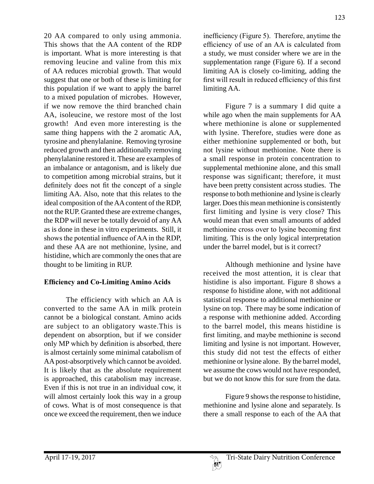20 AA compared to only using ammonia. This shows that the AA content of the RDP is important. What is more interesting is that removing leucine and valine from this mix of AA reduces microbial growth. That would suggest that one or both of these is limiting for this population if we want to apply the barrel to a mixed population of microbes. However, if we now remove the third branched chain AA, isoleucine, we restore most of the lost growth! And even more interesting is the same thing happens with the 2 aromatic AA, tyrosine and phenylalanine. Removing tyrosine reduced growth and then additionally removing phenylalanine restored it. These are examples of an imbalance or antagonism, and is likely due to competition among microbial strains, but it definitely does not fit the concept of a single limiting AA. Also, note that this relates to the ideal composition of the AA content of the RDP, not the RUP. Granted these are extreme changes, the RDP will never be totally devoid of any AA as is done in these in vitro experiments. Still, it shows the potential influence of AA in the RDP, and these AA are not methionine, lysine, and histidine, which are commonly the ones that are thought to be limiting in RUP.

### **Efficiency and Co-Limiting Amino Acids**

The efficiency with which an AA is converted to the same AA in milk protein cannot be a biological constant. Amino acids are subject to an obligatory waste.This is dependent on absorption, but if we consider only MP which by definition is absorbed, there is almost certainly some minimal catabolism of AA post-absorptively which cannot be avoided. It is likely that as the absolute requirement is approached, this catabolism may increase. Even if this is not true in an individual cow, it will almost certainly look this way in a group of cows. What is of most consequence is that once we exceed the requirement, then we induce

inefficiency (Figure 5). Therefore, anytime the efficiency of use of an AA is calculated from a study, we must consider where we are in the supplementation range (Figure 6). If a second limiting AA is closely co-limiting, adding the first will result in reduced efficiency of this first limiting AA.

Figure 7 is a summary I did quite a while ago when the main supplements for AA where methionine is alone or supplemented with lysine. Therefore, studies were done as either methionine supplemented or both, but not lysine without methionine. Note there is a small response in protein concentration to supplemental methionine alone, and this small response was significant; therefore, it must have been pretty consistent across studies. The response to both methionine and lysine is clearly larger. Does this mean methionine is consistently first limiting and lysine is very close? This would mean that even small amounts of added methionine cross over to lysine becoming first limiting. This is the only logical interpretation under the barrel model, but is it correct?

Although methionine and lysine have received the most attention, it is clear that histidine is also important. Figure 8 shows a response fo histidine alone, with not additional statistical response to additional methionine or lysine on top. There may be some indication of a response with methionine added. According to the barrel model, this means histidine is first limiting, and maybe methionine is second limiting and lysine is not important. However, this study did not test the effects of either methionine or lysine alone. By the barrel model, we assume the cows would not have responded, but we do not know this for sure from the data.

Figure 9 shows the response to histidine, methionine and lysine alone and separately. Is there a small response to each of the AA that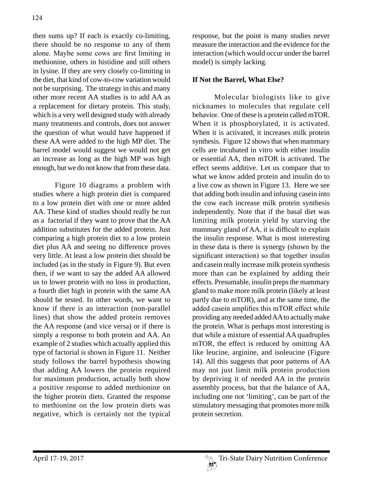then sums up? If each is exactly co-limiting, there should be no response to any of them alone. Maybe some cows are first limiting in methionine, others in histidine and still others in lysine. If they are very closely co-limiting in the diet, that kind of cow-to-cow variation would not be surprising. The strategy in this and many other more recent AA studies is to add AA as a replacement for dietary protein. This study, which is a very well designed study with already many treatments and controls, does not answer the question of what would have happened if these AA were added to the high MP diet. The barrel model would suggest we would not get an increase as long as the high MP was high enough, but we do not know that from these data.

Figure 10 diagrams a problem with studies where a high protein diet is compared to a low protein diet with one or more added AA. These kind of studies should really be run as a factorial if they want to prove that the AA addition substitutes for the added protein. Just comparing a high protein diet to a low protein diet plus AA and seeing no difference proves very little. At least a low protein diet should be included (as in the study in Figure 9). But even then, if we want to say the added AA allowed us to lower protein with no loss in production, a fourth diet high in protein with the same AA should be tested. In other words, we want to know if there is an interaction (non-parallel lines) that show the added protein removes the AA response (and vice versa) or if there is simply a response to both protein and AA. An example of 2 studies which actually applied this type of factorial is shown in Figure 11. Neither study follows the barrel hypothesis showing that adding AA lowers the protein required for maximum production, actually both show a positive response to added methionine on the higher protein diets. Granted the response to methionine on the low protein diets was negative, which is certainly not the typical

response, but the point is many studies never measure the interaction and the evidence for the interaction (which would occur under the barrel model) is simply lacking.

#### **If Not the Barrel, What Else?**

Molecular biologists like to give nicknames to molecules that regulate cell behavior. One of these is a protein called mTOR. When it is phosphorylated, it is activated. When it is activated, it increases milk protein synthesis. Figure 12 shows that when mammary cells are incubated in vitro with either insulin or essential AA, then mTOR is activated. The effect seems additive. Let us compare that to what we know added protein and insulin do to a live cow as shown in Figure 13. Here we see that adding both insulin and infusing casein into the cow each increase milk protein synthesis independently. Note that if the basal diet was limiting milk protein yield by starving the mammary gland of AA, it is difficult to explain the insulin response. What is most interesting in these data is there is synergy (shown by the significant interaction) so that together insulin and casein really increase milk protein synthesis more than can be explained by adding their effects. Presumable, insulin preps the mammary gland to make more milk protein (likely at least partly due to mTOR), and at the same time, the added casein amplifies this mTOR effect while providing any needed added AA to actually make the protein. What is perhaps most interesting is that while a mixture of essential AA quadruples mTOR, the effect is reduced by omitting AA like leucine, arginine, and isoleucine (Figure 14). All this suggests that poor patterns of AA may not just limit milk protein production by depriving it of needed AA in the protein assembly process, but that the balance of AA, including one not 'limiting', can be part of the stimulatory messaging that promotes more milk protein secretion.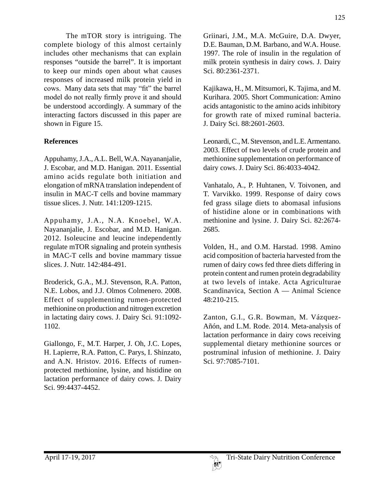The mTOR story is intriguing. The complete biology of this almost certainly includes other mechanisms that can explain responses "outside the barrel". It is important to keep our minds open about what causes responses of increased milk protein yield in cows. Many data sets that may "fit" the barrel model do not really firmly prove it and should be understood accordingly. A summary of the interacting factors discussed in this paper are shown in Figure 15.

# **References**

Appuhamy, J.A., A.L. Bell, W.A. Nayananjalie, J. Escobar, and M.D. Hanigan. 2011. Essential amino acids regulate both initiation and elongation of mRNA translation independent of insulin in MAC-T cells and bovine mammary tissue slices. J. Nutr. 141:1209-1215.

Appuhamy, J.A., N.A. Knoebel, W.A. Nayananjalie, J. Escobar, and M.D. Hanigan. 2012. Isoleucine and leucine independently regulate mTOR signaling and protein synthesis in MAC-T cells and bovine mammary tissue slices. J. Nutr. 142:484-491.

Broderick, G.A., M.J. Stevenson, R.A. Patton, N.E. Lobos, and J.J. Olmos Colmenero. 2008. Effect of supplementing rumen-protected methionine on production and nitrogen excretion in lactating dairy cows. J. Dairy Sci. 91:1092- 1102.

Giallongo, F., M.T. Harper, J. Oh, J.C. Lopes, H. Lapierre, R.A. Patton, C. Parys, I. Shinzato, and A.N. Hristov. 2016. Effects of rumenprotected methionine, lysine, and histidine on lactation performance of dairy cows. J. Dairy Sci. 99:4437-4452.

Griinari, J.M., M.A. McGuire, D.A. Dwyer, D.E. Bauman, D.M. Barbano, and W.A. House. 1997. The role of insulin in the regulation of milk protein synthesis in dairy cows. J. Dairy Sci. 80:2361-2371.

Kajikawa, H., M. Mitsumori, K. Tajima, and M. Kurihara. 2005. Short Communication: Amino acids antagonistic to the amino acids inhibitory for growth rate of mixed ruminal bacteria. J. Dairy Sci. 88:2601-2603.

Leonardi, C., M. Stevenson, and L.E. Armentano. 2003. Effect of two levels of crude protein and methionine supplementation on performance of dairy cows. J. Dairy Sci. 86:4033-4042.

Vanhatalo, A., P. Huhtanen, V. Toivonen, and T. Varvikko. 1999. Response of dairy cows fed grass silage diets to abomasal infusions of histidine alone or in combinations with methionine and lysine. J. Dairy Sci. 82:2674- 2685.

Volden, H., and O.M. Harstad. 1998. Amino acid composition of bacteria harvested from the rumen of dairy cows fed three diets differing in protein content and rumen protein degradability at two levels of intake. Acta Agriculturae Scandinavica, Section A — Animal Science 48:210-215.

Zanton, G.I., G.R. Bowman, M. Vázquez-Añón, and L.M. Rode. 2014. Meta-analysis of lactation performance in dairy cows receiving supplemental dietary methionine sources or postruminal infusion of methionine. J. Dairy Sci. 97:7085-7101.

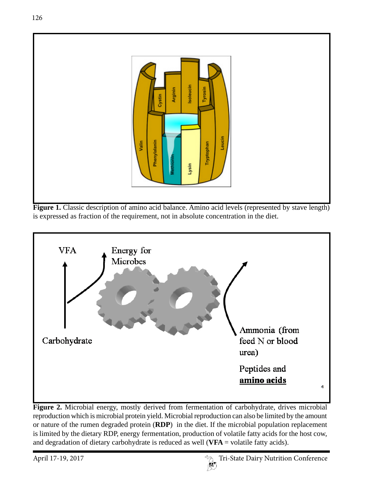

**Figure 1.** Classic description of amino acid balance. Amino acid levels (represented by stave length) is expressed as fraction of the requirement, not in absolute concentration in the diet.



**Figure 2.** Microbial energy, mostly derived from fermentation of carbohydrate, drives microbial reproduction which is microbial protein yield. Microbial reproduction can also be limited by the amount or nature of the rumen degraded protein (**RDP**) in the diet. If the microbial population replacement is limited by the dietary RDP, energy fermentation, production of volatile fatty acids for the host cow, and degradation of dietary carbohydrate is reduced as well (**VFA** = volatile fatty acids).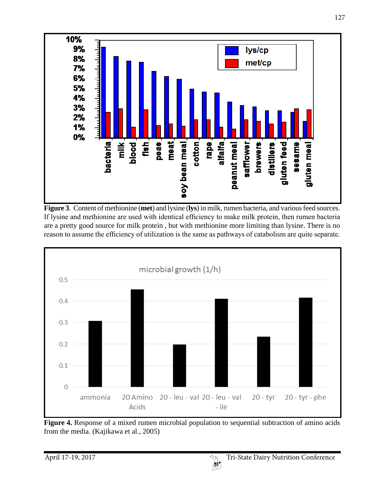

**Figure 3**. Content of methionine (**met**) and lysine (**lys**) in milk, rumen bacteria, and various feed sources. If lysine and methionine are used with identical efficiency to make milk protein, then rumen bacteria are a pretty good source for milk protein , but with methionine more limiting than lysine. There is no reason to assume the efficiency of utilization is the same as pathways of catabolism are quite separate.



**Figure 4.** Response of a mixed rumen microbial population to sequential subtraction of amino acids from the media. (Kajikawa et al., 2005)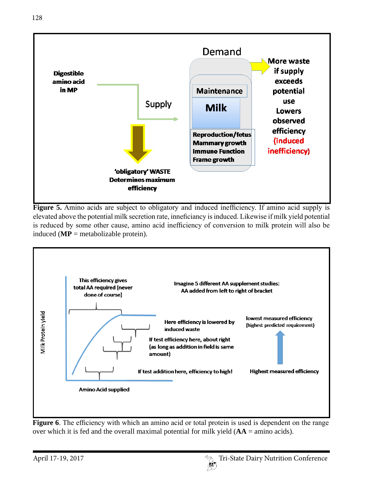

**Figure 5.** Amino acids are subject to obligatory and induced inefficiency. If amino acid supply is elevated above the potential milk secretion rate, inneficiancy is induced. Likewise if milk yield potential is reduced by some other cause, amino acid inefficiency of conversion to milk protein will also be induced (**MP** = metabolizable protein).



**Figure 6**. The efficiency with which an amino acid or total protein is used is dependent on the range over which it is fed and the overall maximal potential for milk yield (**AA** = amino acids).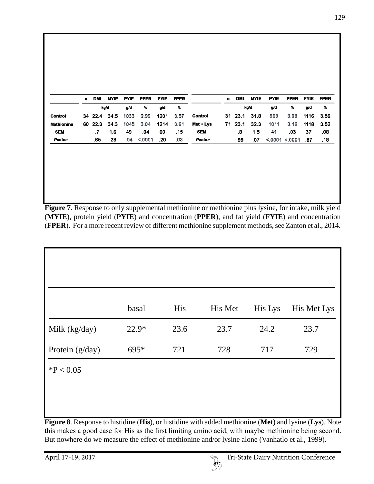|                   | n. | <b>DMI</b> | <b>MYIE</b> | <b>PYIE</b> | <b>PPER</b> | <b>FYIE</b> | <b>FPER</b> |                | n. | <b>DMI</b> | <b>MYIE</b> | <b>PYIE</b> | <b>PPER</b>   | <b>FYIE</b> | <b>FPER</b> |
|-------------------|----|------------|-------------|-------------|-------------|-------------|-------------|----------------|----|------------|-------------|-------------|---------------|-------------|-------------|
|                   |    |            | kg/d        | g/d         | %           | g/d         | %           |                |    |            | kg/d        | g/d         | x             | g/d         | %           |
| <b>Control</b>    |    | 34 22.4    | 34.5        | 1033        | 2.99        | 1201        | 3.57        | <b>Control</b> | 31 | 23.1       | 31.8        | 969         | 3.08          | 1116        | 3.56        |
| <b>Methionine</b> |    | 60 22.3    | 34.3        | 1045        | 3.04        | 1214        | 3.61        | Met + Lys      |    | 71 23.1    | 32.3        | 1011        | 3.16          | 1118        | 3.52        |
| <b>SEM</b>        |    | .7         | 1.6         | 49          | .04         | 60          | .15         | <b>SEM</b>     |    | 8.         | 1.5         | 41          | .03           | 37          | .08         |
| Pvalue            |    | .65        | .28         | .04         | < 0001      | .20         | .03         | Pvalue         |    | .99        | .07         |             | < 0001 < 0001 | .87         | .18         |

**Figure 7**. Response to only supplemental methionine or methionine plus lysine, for intake, milk yield (**MYIE**), protein yield (**PYIE**) and concentration (**PPER**), and fat yield (**FYIE**) and concentration (**FPER**). For a more recent review of different methionine supplement methods, see Zanton et al., 2014.

|                 | basal   | His  | His Met | His Lys | His Met Lys |
|-----------------|---------|------|---------|---------|-------------|
| Milk (kg/day)   | $22.9*$ | 23.6 | 23.7    | 24.2    | 23.7        |
| Protein (g/day) | 695*    | 721  | 728     | 717     | 729         |
| $*P < 0.05$     |         |      |         |         |             |
|                 |         |      |         |         |             |

**Figure 8**. Response to histidine (**His**), or histidine with added methionine (**Met**) and lysine (**Lys**). Note this makes a good case for His as the first limiting amino acid, with maybe methionine being second. But nowhere do we measure the effect of methionine and/or lysine alone (Vanhatlo et al., 1999).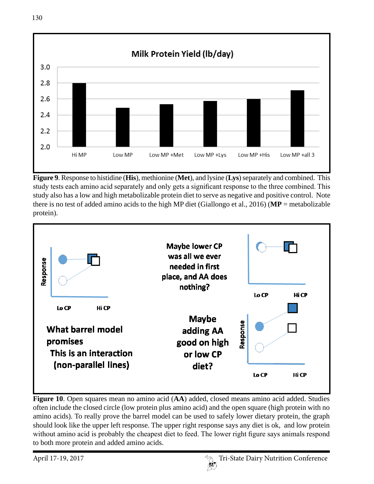

**Figure 9**. Response to histidine (**His**), methionine (**Met**), and lysine (**Lys**) separately and combined. This study tests each amino acid separately and only gets a significant response to the three combined. This study also has a low and high metabolizable protein diet to serve as negative and positive control. Note there is no test of added amino acids to the high MP diet (Giallongo et al., 2016) (**MP** = metabolizable protein).



**Figure 10**. Open squares mean no amino acid (**AA**) added, closed means amino acid added. Studies often include the closed circle (low protein plus amino acid) and the open square (high protein with no amino acids). To really prove the barrel model can be used to safely lower dietary protein, the graph should look like the upper left response. The upper right response says any diet is ok, and low protein without amino acid is probably the cheapest diet to feed. The lower right figure says animals respond to both more protein and added amino acids.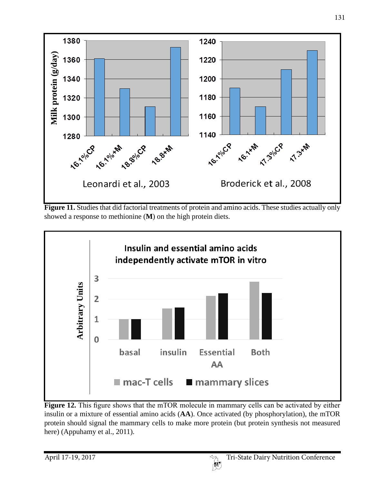

**Figure 11.** Studies that did factorial treatments of protein and amino acids. These studies actually only showed a response to methionine (**M**) on the high protein diets.



**Figure 12.** This figure shows that the mTOR molecule in mammary cells can be activated by either insulin or a mixture of essential amino acids (**AA**). Once activated (by phosphorylation), the mTOR protein should signal the mammary cells to make more protein (but protein synthesis not measured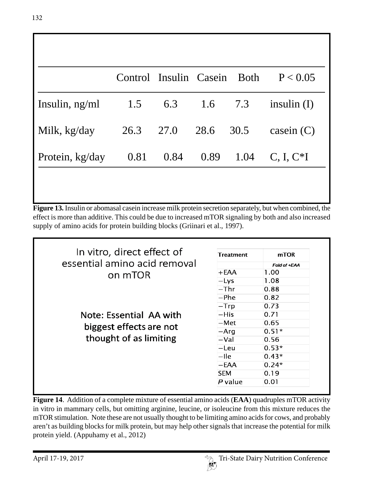|                  | Control Insulin Casein Both |      |             | P < 0.05      |
|------------------|-----------------------------|------|-------------|---------------|
| Insulin, $ng/ml$ | 1.5                         |      | 6.3 1.6 7.3 | insulin $(I)$ |
| Milk, kg/day     | 26.3 27.0                   |      | 28.6 30.5   | casein $(C)$  |
| Protein, kg/day  | 0.81                        | 0.84 | $0.89$ 1.04 | $C, I, C^*I$  |

**Figure 13.** Insulin or abomasal casein increase milk protein secretion separately, but when combined, the effect is more than additive. This could be due to increased mTOR signaling by both and also increased supply of amino acids for protein building blocks (Griinari et al., 1997).

| In vitro, direct effect of   | <b>Treatment</b> | mTOR         |
|------------------------------|------------------|--------------|
| essential amino acid removal |                  | Fold of +EAA |
| on mTOR                      | +EAA             | 1.00         |
|                              | $-LVS$           | 1.08         |
|                              | $-Thr$           | 0.88         |
|                              | $-$ Phe          | 0.82         |
|                              | $-Trp$           | 0.73         |
| Note: Essential AA with      | $-HiS$           | 0.71         |
|                              | –Met             | 0.65         |
| biggest effects are not      | $-Arq$           | $0.51*$      |
| thought of as limiting       | $-Val$           | 0.56         |
|                              | $-\mathsf{Leu}$  | $0.53*$      |
|                              | $-$ Ile          | $0.43*$      |
|                              | $-EAA$           | $0.24*$      |
|                              | <b>SEM</b>       | 0.19         |
|                              | P value          | 0.01         |

**Figure 14**. Addition of a complete mixture of essential amino acids (**EAA**) quadruples mTOR activity in vitro in mammary cells, but omitting arginine, leucine, or isoleucine from this mixture reduces the mTOR stimulation. Note these are not usually thought to be limiting amino acids for cows, and probably aren't as building blocks for milk protein, but may help other signals that increase the potential for milk protein yield. (Appuhamy et al., 2012)